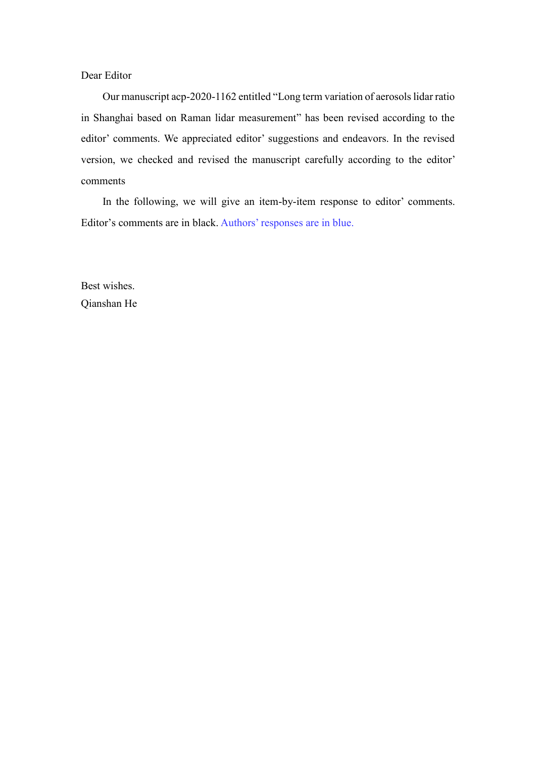Dear Editor

Our manuscript acp-2020-1162 entitled "Long term variation of aerosols lidar ratio in Shanghai based on Raman lidar measurement" has been revised according to the editor' comments. We appreciated editor' suggestions and endeavors. In the revised version, we checked and revised the manuscript carefully according to the editor' comments

In the following, we will give an item-by-item response to editor' comments. Editor's comments are in black. Authors' responses are in blue.

Best wishes. Qianshan He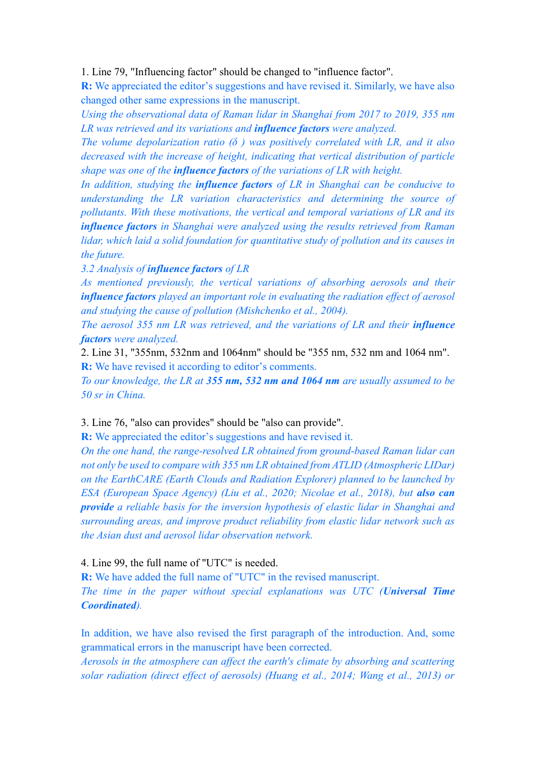1. Line 79, "Influencing factor" should be changed to "influence factor".

**R:** We appreciated the editor's suggestions and have revised it. Similarly, we have also changed other same expressions in the manuscript.

*Using the observational data of Raman lidar in Shanghai from 2017 to 2019, 355 nm LR was retrieved and its variations and influence factors were analyzed.*

*The volume depolarization ratio (δ ) was positively correlated with LR, and it also decreased with the increase of height, indicating that vertical distribution of particle shape was one of the influence factors of the variations of LR with height.*

*In addition, studying the influence factors of LR in Shanghai can be conducive to understanding the LR variation characteristics and determining the source of pollutants. With these motivations, the vertical and temporal variations of LR and its influence factors in Shanghai were analyzed using the results retrieved from Raman lidar, which laid a solid foundation for quantitative study of pollution and its causes in the future.*

*3.2 Analysis of influence factors of LR*

*As mentioned previously, the vertical variations of absorbing aerosols and their influence factors played an important role in evaluating the radiation effect of aerosol and studying the cause of pollution (Mishchenko et al., 2004).*

*The aerosol 355 nm LR was retrieved, and the variations of LR and their influence factors were analyzed.*

2. Line 31, "355nm, 532nm and 1064nm" should be "355 nm, 532 nm and 1064 nm". **R:** We have revised it according to editor's comments.

*To our knowledge, the LR at 355 nm, 532 nm and 1064 nm are usually assumed to be 50 sr in China.*

3. Line 76, "also can provides" should be "also can provide".

**R:** We appreciated the editor's suggestions and have revised it.

*On the one hand, the range-resolved LR obtained from ground-based Raman lidar can not only be used to compare with 355 nm LR obtained from ATLID (Atmospheric LIDar) on the EarthCARE (Earth Clouds and Radiation Explorer) planned to be launched by ESA (European Space Agency) (Liu et al., 2020; Nicolae et al., 2018), but also can provide a reliable basis for the inversion hypothesis of elastic lidar in Shanghai and surrounding areas, and improve product reliability from elastic lidar network such as the Asian dust and aerosol lidar observation network.*

## 4. Line 99, the full name of "UTC" is needed.

**R:** We have added the full name of "UTC" in the revised manuscript. *The time in the paper without special explanations was UTC (Universal Time Coordinated).*

In addition, we have also revised the first paragraph of the introduction. And, some grammatical errors in the manuscript have been corrected.

*Aerosols in the atmosphere can affect the earth's climate by absorbing and scattering solar radiation (direct effect of aerosols) (Huang et al., 2014; Wang et al., 2013) or*